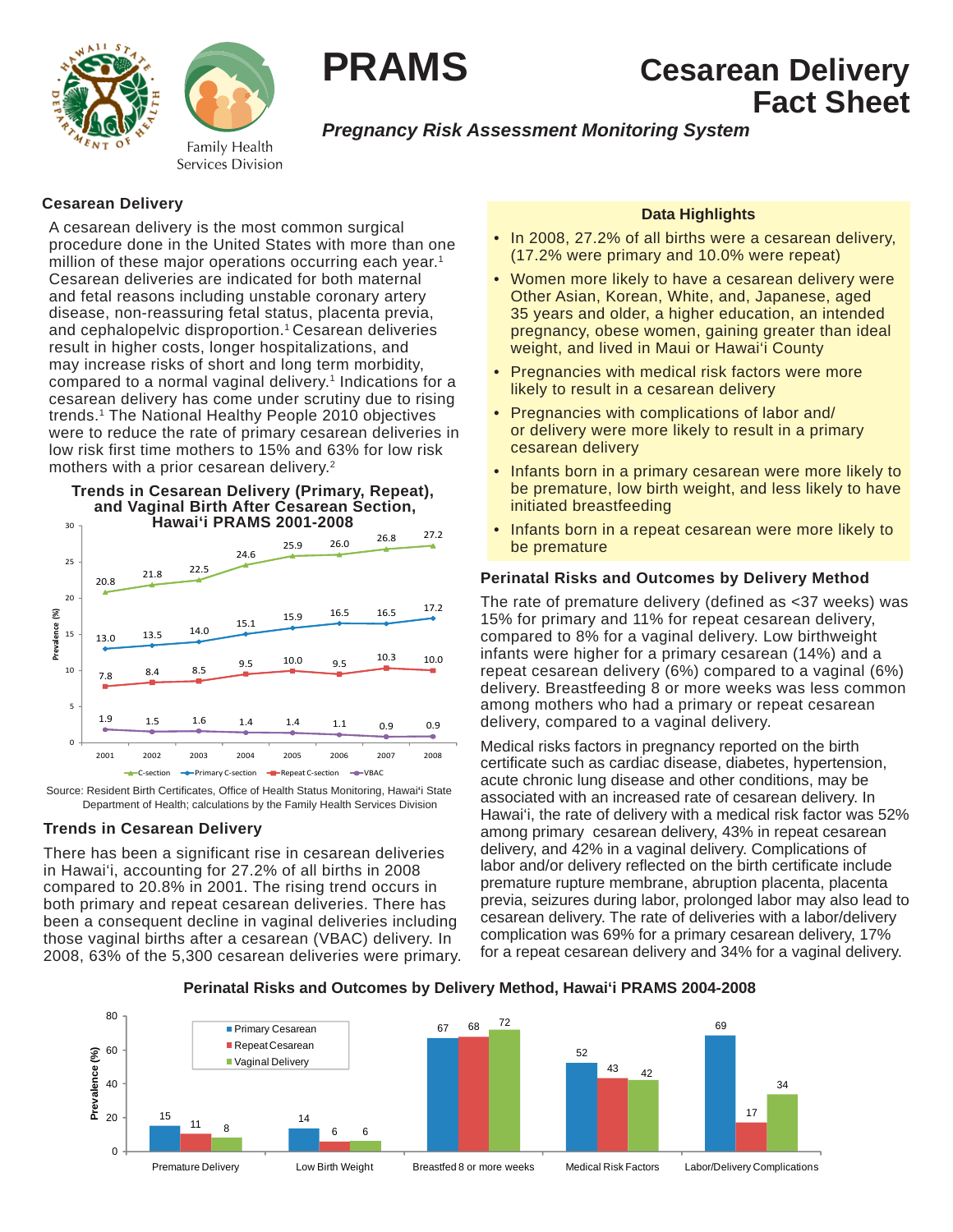



# **PRAMS Cesarean Delivery Fact Sheet**

## *Pregnancy Risk Assessment Monitoring System*

## **Cesarean Delivery**

A cesarean delivery is the most common surgical procedure done in the United States with more than one million of these major operations occurring each year.<sup>1</sup> Cesarean deliveries are indicated for both maternal and fetal reasons including unstable coronary artery disease, non-reassuring fetal status, placenta previa, and cephalopelvic disproportion.1 Cesarean deliveries result in higher costs, longer hospitalizations, and may increase risks of short and long term morbidity, compared to a normal vaginal delivery.<sup>1</sup> Indications for a cesarean delivery has come under scrutiny due to rising trends.1 The National Healthy People 2010 objectives were to reduce the rate of primary cesarean deliveries in low risk first time mothers to 15% and 63% for low risk mothers with a prior cesarean delivery.<sup>2</sup>





Source: Resident Birth Certificates, Office of Health Status Monitoring, Hawai<sup>'</sup>i State Department of Health; calculations by the Family Health Services Division

## **Trends in Cesarean Delivery**

There has been a significant rise in cesarean deliveries in Hawai'i, accounting for 27.2% of all births in 2008 compared to 20.8% in 2001. The rising trend occurs in both primary and repeat cesarean deliveries. There has been a consequent decline in vaginal deliveries including those vaginal births after a cesarean (VBAC) delivery. In 2008, 63% of the 5,300 cesarean deliveries were primary.

## **Data Highlights**

- In 2008, 27.2% of all births were a cesarean delivery, (17.2% were primary and 10.0% were repeat)
- Women more likely to have a cesarean delivery were Other Asian, Korean, White, and, Japanese, aged 35 years and older, a higher education, an intended pregnancy, obese women, gaining greater than ideal weight, and lived in Maui or Hawai'i County
- Pregnancies with medical risk factors were more likely to result in a cesarean delivery
- Pregnancies with complications of labor and/ or delivery were more likely to result in a primary cesarean delivery
- Infants born in a primary cesarean were more likely to be premature, low birth weight, and less likely to have initiated breastfeeding
- Infants born in a repeat cesarean were more likely to be premature

## **Perinatal Risks and Outcomes by Delivery Method**

The rate of premature delivery (defined as <37 weeks) was 15% for primary and 11% for repeat cesarean delivery, compared to 8% for a vaginal delivery. Low birthweight infants were higher for a primary cesarean (14%) and a repeat cesarean delivery (6%) compared to a vaginal (6%) delivery. Breastfeeding 8 or more weeks was less common among mothers who had a primary or repeat cesarean delivery, compared to a vaginal delivery.

Medical risks factors in pregnancy reported on the birth certificate such as cardiac disease, diabetes, hypertension, acute chronic lung disease and other conditions, may be associated with an increased rate of cesarean delivery. In Hawai'i, the rate of delivery with a medical risk factor was 52% among primary cesarean delivery, 43% in repeat cesarean delivery, and 42% in a vaginal delivery. Complications of labor and/or delivery reflected on the birth certificate include premature rupture membrane, abruption placenta, placenta previa, seizures during labor, prolonged labor may also lead to cesarean delivery. The rate of deliveries with a labor/delivery complication was 69% for a primary cesarean delivery, 17% for a repeat cesarean delivery and 34% for a vaginal delivery.

**Perinatal Risks and Outcomes by Delivery Method, Hawai'i PRAMS 2004-2008**